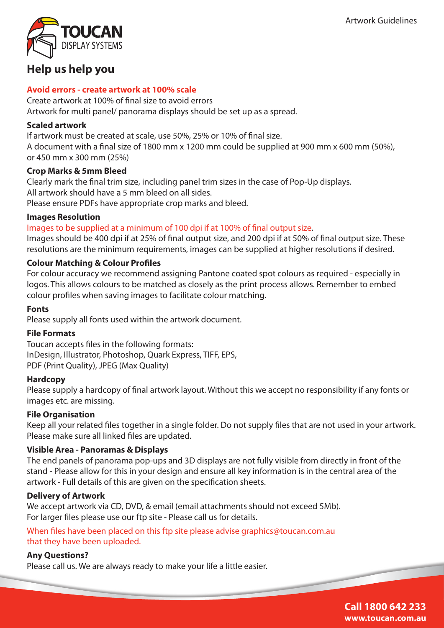

## **Help us help you**

#### **Avoid errors - create artwork at 100% scale**

Create artwork at 100% of final size to avoid errors Artwork for multi panel/ panorama displays should be set up as a spread.

#### **Scaled artwork**

If artwork must be created at scale, use 50%, 25% or 10% of final size. A document with a final size of 1800 mm x 1200 mm could be supplied at 900 mm x 600 mm (50%), or 450 mm x 300 mm (25%)

## **Crop Marks & 5mm Bleed**

Clearly mark the final trim size, including panel trim sizes in the case of Pop-Up displays. All artwork should have a 5 mm bleed on all sides. Please ensure PDFs have appropriate crop marks and bleed.

#### **Images Resolution**

## Images to be supplied at a minimum of 100 dpi if at 100% of final output size.

Images should be 400 dpi if at 25% of final output size, and 200 dpi if at 50% of final output size. These resolutions are the minimum requirements, images can be supplied at higher resolutions if desired.

## **Colour Matching & Colour Profiles**

For colour accuracy we recommend assigning Pantone coated spot colours as required - especially in logos. This allows colours to be matched as closely as the print process allows. Remember to embed colour profiles when saving images to facilitate colour matching.

#### **Fonts**

Please supply all fonts used within the artwork document.

#### **File Formats**

Toucan accepts files in the following formats: InDesign, Illustrator, Photoshop, Quark Express, TIFF, EPS, PDF (Print Quality), JPEG (Max Quality)

#### **Hardcopy**

Please supply a hardcopy of final artwork layout. Without this we accept no responsibility if any fonts or images etc. are missing.

#### **File Organisation**

Keep all your related files together in a single folder. Do not supply files that are not used in your artwork. Please make sure all linked files are updated.

#### **Visible Area - Panoramas & Displays**

The end panels of panorama pop-ups and 3D displays are not fully visible from directly in front of the stand - Please allow for this in your design and ensure all key information is in the central area of the artwork - Full details of this are given on the specification sheets.

#### **Delivery of Artwork**

We accept artwork via CD, DVD, & email (email attachments should not exceed 5Mb). For larger files please use our ftp site - Please call us for details.

## When files have been placed on this ftp site please advise graphics@toucan.com.au that they have been uploaded.

## **Any Questions?**

Please call us. We are always ready to make your life a little easier.

**Call 1800 642 233 www.toucan.com.au**